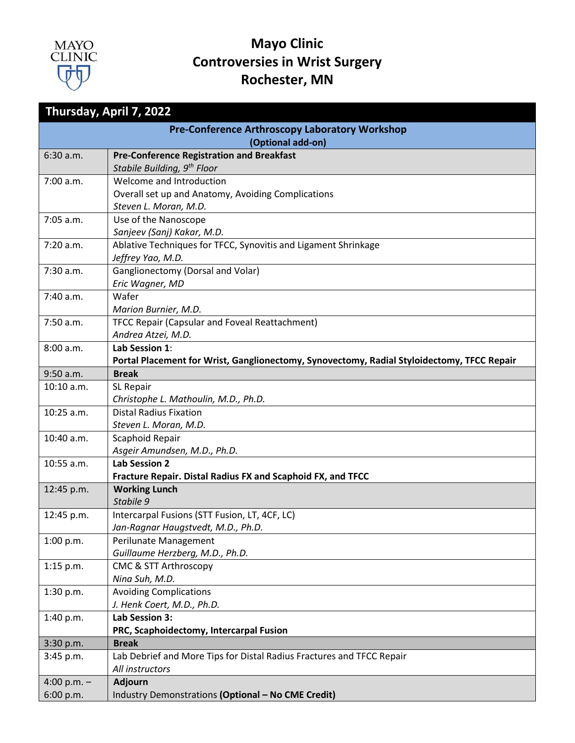

| Thursday, April 7, 2022                               |                                                                                            |
|-------------------------------------------------------|--------------------------------------------------------------------------------------------|
| <b>Pre-Conference Arthroscopy Laboratory Workshop</b> |                                                                                            |
|                                                       | (Optional add-on)                                                                          |
| 6:30 a.m.                                             | <b>Pre-Conference Registration and Breakfast</b>                                           |
|                                                       | Stabile Building, 9 <sup>th</sup> Floor                                                    |
| 7:00 a.m.                                             | Welcome and Introduction                                                                   |
|                                                       | Overall set up and Anatomy, Avoiding Complications                                         |
|                                                       | Steven L. Moran, M.D.                                                                      |
| 7:05 a.m.                                             | Use of the Nanoscope                                                                       |
|                                                       | Sanjeev (Sanj) Kakar, M.D.                                                                 |
| 7:20 a.m.                                             | Ablative Techniques for TFCC, Synovitis and Ligament Shrinkage                             |
|                                                       | Jeffrey Yao, M.D.                                                                          |
| 7:30 a.m.                                             | Ganglionectomy (Dorsal and Volar)                                                          |
|                                                       | Eric Wagner, MD<br>Wafer                                                                   |
| 7:40 a.m.                                             | Marion Burnier, M.D.                                                                       |
| 7:50 a.m.                                             | TFCC Repair (Capsular and Foveal Reattachment)                                             |
|                                                       | Andrea Atzei, M.D.                                                                         |
| 8:00 a.m.                                             | Lab Session 1:                                                                             |
|                                                       | Portal Placement for Wrist, Ganglionectomy, Synovectomy, Radial Styloidectomy, TFCC Repair |
| $9:50$ a.m.                                           | <b>Break</b>                                                                               |
| 10:10 a.m.                                            | SL Repair                                                                                  |
|                                                       | Christophe L. Mathoulin, M.D., Ph.D.                                                       |
| $10:25$ a.m.                                          | <b>Distal Radius Fixation</b>                                                              |
|                                                       | Steven L. Moran, M.D.                                                                      |
| 10:40 a.m.                                            | Scaphoid Repair                                                                            |
|                                                       | Asgeir Amundsen, M.D., Ph.D.                                                               |
| 10:55 a.m.                                            | <b>Lab Session 2</b>                                                                       |
|                                                       | Fracture Repair. Distal Radius FX and Scaphoid FX, and TFCC                                |
| 12:45 p.m.                                            | <b>Working Lunch</b>                                                                       |
|                                                       | Stabile 9<br>Intercarpal Fusions (STT Fusion, LT, 4CF, LC)                                 |
| 12:45 p.m.                                            | Jan-Ragnar Haugstvedt, M.D., Ph.D.                                                         |
| 1:00 p.m.                                             | Perilunate Management                                                                      |
|                                                       | Guillaume Herzberg, M.D., Ph.D.                                                            |
| $1:15$ p.m.                                           | <b>CMC &amp; STT Arthroscopy</b>                                                           |
|                                                       | Nina Suh, M.D.                                                                             |
| 1:30 p.m.                                             | <b>Avoiding Complications</b>                                                              |
|                                                       | J. Henk Coert, M.D., Ph.D.                                                                 |
| 1:40 p.m.                                             | Lab Session 3:                                                                             |
|                                                       | PRC, Scaphoidectomy, Intercarpal Fusion                                                    |
| 3:30 p.m.                                             | <b>Break</b>                                                                               |
| 3:45 p.m.                                             | Lab Debrief and More Tips for Distal Radius Fractures and TFCC Repair                      |
|                                                       | All instructors                                                                            |
| 4:00 p.m. $-$                                         | Adjourn                                                                                    |
| 6:00 p.m.                                             | Industry Demonstrations (Optional - No CME Credit)                                         |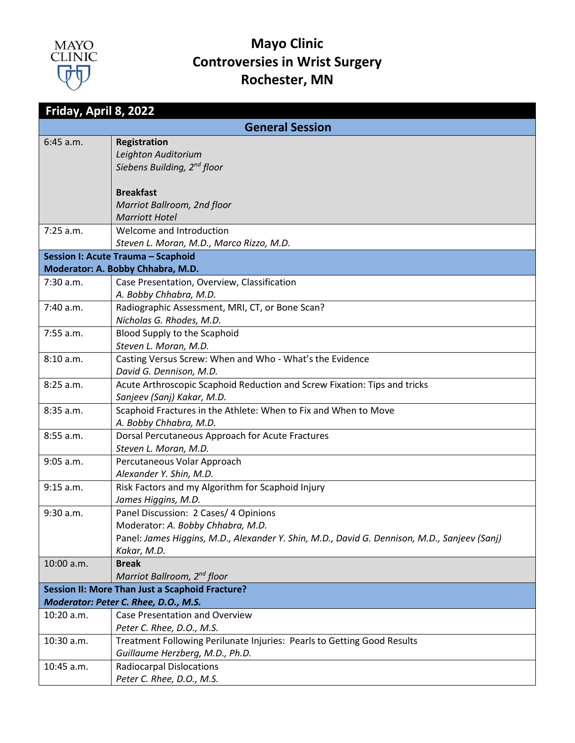

| Friday, April 8, 2022 |                                                                                                             |
|-----------------------|-------------------------------------------------------------------------------------------------------------|
|                       | <b>General Session</b>                                                                                      |
| $6:45$ a.m.           | <b>Registration</b>                                                                                         |
|                       | Leighton Auditorium                                                                                         |
|                       | Siebens Building, 2 <sup>nd</sup> floor                                                                     |
|                       | <b>Breakfast</b>                                                                                            |
|                       | Marriot Ballroom, 2nd floor                                                                                 |
|                       | <b>Marriott Hotel</b>                                                                                       |
| $7:25$ a.m.           | Welcome and Introduction                                                                                    |
|                       | Steven L. Moran, M.D., Marco Rizzo, M.D.                                                                    |
|                       | Session I: Acute Trauma - Scaphoid                                                                          |
|                       | Moderator: A. Bobby Chhabra, M.D.                                                                           |
| $7:30$ a.m.           | Case Presentation, Overview, Classification                                                                 |
|                       | A. Bobby Chhabra, M.D.                                                                                      |
| 7:40 a.m.             | Radiographic Assessment, MRI, CT, or Bone Scan?                                                             |
|                       | Nicholas G. Rhodes, M.D.                                                                                    |
| $7:55$ a.m.           | Blood Supply to the Scaphoid                                                                                |
|                       | Steven L. Moran, M.D.                                                                                       |
| 8:10 a.m.             | Casting Versus Screw: When and Who - What's the Evidence                                                    |
|                       | David G. Dennison, M.D.                                                                                     |
| 8:25 a.m.             | Acute Arthroscopic Scaphoid Reduction and Screw Fixation: Tips and tricks<br>Sanjeev (Sanj) Kakar, M.D.     |
| 8:35 a.m.             | Scaphoid Fractures in the Athlete: When to Fix and When to Move                                             |
|                       | A. Bobby Chhabra, M.D.                                                                                      |
| 8:55 a.m.             | Dorsal Percutaneous Approach for Acute Fractures                                                            |
|                       | Steven L. Moran, M.D.                                                                                       |
| $9:05$ a.m.           | Percutaneous Volar Approach                                                                                 |
|                       | Alexander Y. Shin, M.D.                                                                                     |
| 9:15 a.m.             | Risk Factors and my Algorithm for Scaphoid Injury                                                           |
|                       | James Higgins, M.D.                                                                                         |
| 9:30 a.m.             | Panel Discussion: 2 Cases/ 4 Opinions                                                                       |
|                       | Moderator: A. Bobby Chhabra, M.D.                                                                           |
|                       | Panel: James Higgins, M.D., Alexander Y. Shin, M.D., David G. Dennison, M.D., Sanjeev (Sanj)<br>Kakar, M.D. |
| 10:00 a.m.            | <b>Break</b>                                                                                                |
|                       | Marriot Ballroom, 2 <sup>nd</sup> floor                                                                     |
|                       | Session II: More Than Just a Scaphoid Fracture?                                                             |
|                       | Moderator: Peter C. Rhee, D.O., M.S.                                                                        |
| $10:20$ a.m.          | Case Presentation and Overview                                                                              |
|                       | Peter C. Rhee, D.O., M.S.                                                                                   |
| 10:30 a.m.            | Treatment Following Perilunate Injuries: Pearls to Getting Good Results                                     |
|                       | Guillaume Herzberg, M.D., Ph.D.                                                                             |
| 10:45 a.m.            | <b>Radiocarpal Dislocations</b>                                                                             |
|                       | Peter C. Rhee, D.O., M.S.                                                                                   |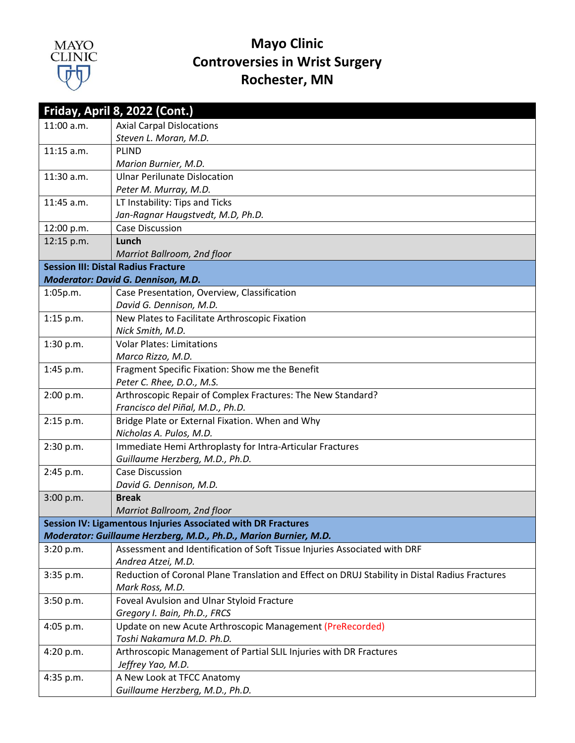

|              | Friday, April 8, 2022 (Cont.)                                                                  |
|--------------|------------------------------------------------------------------------------------------------|
| 11:00 a.m.   | <b>Axial Carpal Dislocations</b>                                                               |
|              | Steven L. Moran, M.D.                                                                          |
| $11:15$ a.m. | PLIND                                                                                          |
|              | Marion Burnier, M.D.                                                                           |
| 11:30 a.m.   | <b>Ulnar Perilunate Dislocation</b>                                                            |
|              | Peter M. Murray, M.D.                                                                          |
| 11:45 a.m.   | LT Instability: Tips and Ticks                                                                 |
|              | Jan-Ragnar Haugstvedt, M.D, Ph.D.                                                              |
| 12:00 p.m.   | <b>Case Discussion</b>                                                                         |
| 12:15 p.m.   | Lunch                                                                                          |
|              | Marriot Ballroom, 2nd floor                                                                    |
|              | <b>Session III: Distal Radius Fracture</b>                                                     |
|              | Moderator: David G. Dennison, M.D.                                                             |
| 1:05p.m.     | Case Presentation, Overview, Classification<br>David G. Dennison, M.D.                         |
| $1:15$ p.m.  | New Plates to Facilitate Arthroscopic Fixation                                                 |
|              | Nick Smith, M.D.                                                                               |
| 1:30 p.m.    | <b>Volar Plates: Limitations</b>                                                               |
|              | Marco Rizzo, M.D.                                                                              |
| 1:45 p.m.    | Fragment Specific Fixation: Show me the Benefit                                                |
|              | Peter C. Rhee, D.O., M.S.                                                                      |
| 2:00 p.m.    | Arthroscopic Repair of Complex Fractures: The New Standard?                                    |
|              | Francisco del Piñal, M.D., Ph.D.                                                               |
| 2:15 p.m.    | Bridge Plate or External Fixation. When and Why                                                |
|              | Nicholas A. Pulos, M.D.                                                                        |
| 2:30 p.m.    | Immediate Hemi Arthroplasty for Intra-Articular Fractures                                      |
|              | Guillaume Herzberg, M.D., Ph.D.                                                                |
| 2:45 p.m.    | Case Discussion<br>David G. Dennison, M.D.                                                     |
| 3:00 p.m.    | <b>Break</b>                                                                                   |
|              | Marriot Ballroom, 2nd floor                                                                    |
|              | Session IV: Ligamentous Injuries Associated with DR Fractures                                  |
|              | Moderator: Guillaume Herzberg, M.D., Ph.D., Marion Burnier, M.D.                               |
| 3:20 p.m.    | Assessment and Identification of Soft Tissue Injuries Associated with DRF                      |
|              | Andrea Atzei, M.D.                                                                             |
| 3:35 p.m.    | Reduction of Coronal Plane Translation and Effect on DRUJ Stability in Distal Radius Fractures |
|              | Mark Ross, M.D.                                                                                |
| 3:50 p.m.    | Foveal Avulsion and Ulnar Styloid Fracture                                                     |
|              | Gregory I. Bain, Ph.D., FRCS                                                                   |
| $4:05$ p.m.  | Update on new Acute Arthroscopic Management (PreRecorded)                                      |
|              | Toshi Nakamura M.D. Ph.D.                                                                      |
| 4:20 p.m.    | Arthroscopic Management of Partial SLIL Injuries with DR Fractures                             |
|              | Jeffrey Yao, M.D.                                                                              |
| 4:35 p.m.    | A New Look at TFCC Anatomy                                                                     |
|              | Guillaume Herzberg, M.D., Ph.D.                                                                |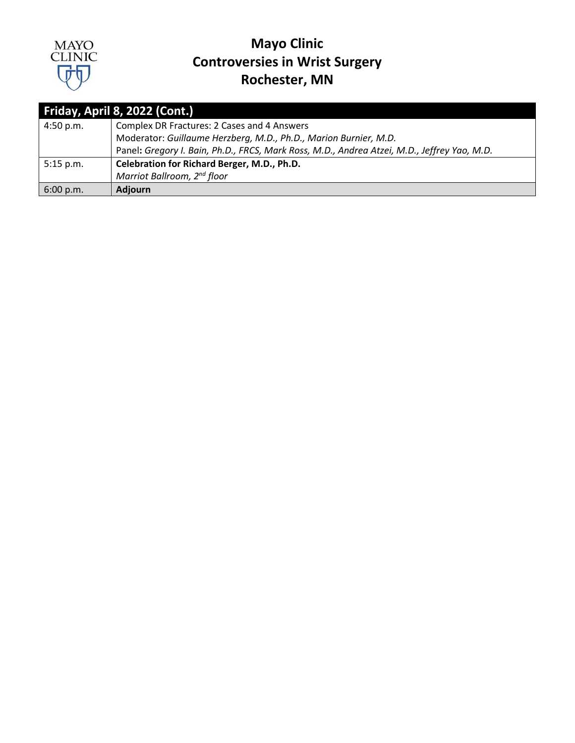

| Friday, April 8, 2022 (Cont.) |                                                                                             |
|-------------------------------|---------------------------------------------------------------------------------------------|
| 4:50 p.m.                     | Complex DR Fractures: 2 Cases and 4 Answers                                                 |
|                               | Moderator: Guillaume Herzberg, M.D., Ph.D., Marion Burnier, M.D.                            |
|                               | Panel: Gregory I. Bain, Ph.D., FRCS, Mark Ross, M.D., Andrea Atzei, M.D., Jeffrey Yao, M.D. |
| $5:15$ p.m.                   | Celebration for Richard Berger, M.D., Ph.D.                                                 |
|                               | Marriot Ballroom, 2 <sup>nd</sup> floor                                                     |
| 6:00 p.m.                     | <b>Adjourn</b>                                                                              |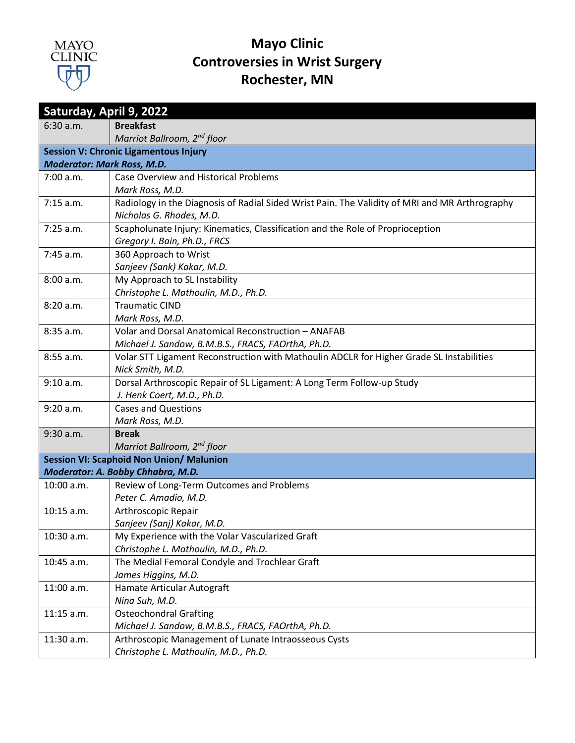

| Saturday, April 9, 2022           |                                                                                                |
|-----------------------------------|------------------------------------------------------------------------------------------------|
| 6:30 a.m.                         | <b>Breakfast</b>                                                                               |
|                                   | Marriot Ballroom, 2 <sup>nd</sup> floor                                                        |
|                                   | <b>Session V: Chronic Ligamentous Injury</b>                                                   |
| <b>Moderator: Mark Ross, M.D.</b> |                                                                                                |
| 7:00 a.m.                         | <b>Case Overview and Historical Problems</b>                                                   |
|                                   | Mark Ross, M.D.                                                                                |
| $7:15$ a.m.                       | Radiology in the Diagnosis of Radial Sided Wrist Pain. The Validity of MRI and MR Arthrography |
|                                   | Nicholas G. Rhodes, M.D.                                                                       |
| $7:25$ a.m.                       | Scapholunate Injury: Kinematics, Classification and the Role of Proprioception                 |
|                                   | Gregory I. Bain, Ph.D., FRCS                                                                   |
| 7:45 a.m.                         | 360 Approach to Wrist                                                                          |
|                                   | Sanjeev (Sank) Kakar, M.D.                                                                     |
| 8:00 a.m.                         | My Approach to SL Instability                                                                  |
|                                   | Christophe L. Mathoulin, M.D., Ph.D.                                                           |
| 8:20 a.m.                         | <b>Traumatic CIND</b>                                                                          |
| 8:35 a.m.                         | Mark Ross, M.D.<br>Volar and Dorsal Anatomical Reconstruction - ANAFAB                         |
|                                   | Michael J. Sandow, B.M.B.S., FRACS, FAOrthA, Ph.D.                                             |
| 8:55 a.m.                         | Volar STT Ligament Reconstruction with Mathoulin ADCLR for Higher Grade SL Instabilities       |
|                                   | Nick Smith, M.D.                                                                               |
| 9:10 a.m.                         | Dorsal Arthroscopic Repair of SL Ligament: A Long Term Follow-up Study                         |
|                                   | J. Henk Coert, M.D., Ph.D.                                                                     |
| 9:20 a.m.                         | <b>Cases and Questions</b>                                                                     |
|                                   | Mark Ross, M.D.                                                                                |
| 9:30 a.m.                         | <b>Break</b>                                                                                   |
|                                   | Marriot Ballroom, 2 <sup>nd</sup> floor                                                        |
|                                   | <b>Session VI: Scaphoid Non Union/ Malunion</b>                                                |
|                                   | Moderator: A. Bobby Chhabra, M.D.                                                              |
| 10:00 a.m.                        | Review of Long-Term Outcomes and Problems                                                      |
|                                   | Peter C. Amadio, M.D.                                                                          |
| 10:15 a.m.                        | Arthroscopic Repair                                                                            |
|                                   | Sanjeev (Sanj) Kakar, M.D.                                                                     |
| 10:30 a.m.                        | My Experience with the Volar Vascularized Graft                                                |
|                                   | Christophe L. Mathoulin, M.D., Ph.D.                                                           |
| 10:45 a.m.                        | The Medial Femoral Condyle and Trochlear Graft                                                 |
|                                   | James Higgins, M.D.                                                                            |
| 11:00 a.m.                        | Hamate Articular Autograft                                                                     |
| 11:15 a.m.                        | Nina Suh, M.D.<br><b>Osteochondral Grafting</b>                                                |
|                                   | Michael J. Sandow, B.M.B.S., FRACS, FAOrthA, Ph.D.                                             |
| 11:30 a.m.                        | Arthroscopic Management of Lunate Intraosseous Cysts                                           |
|                                   | Christophe L. Mathoulin, M.D., Ph.D.                                                           |
|                                   |                                                                                                |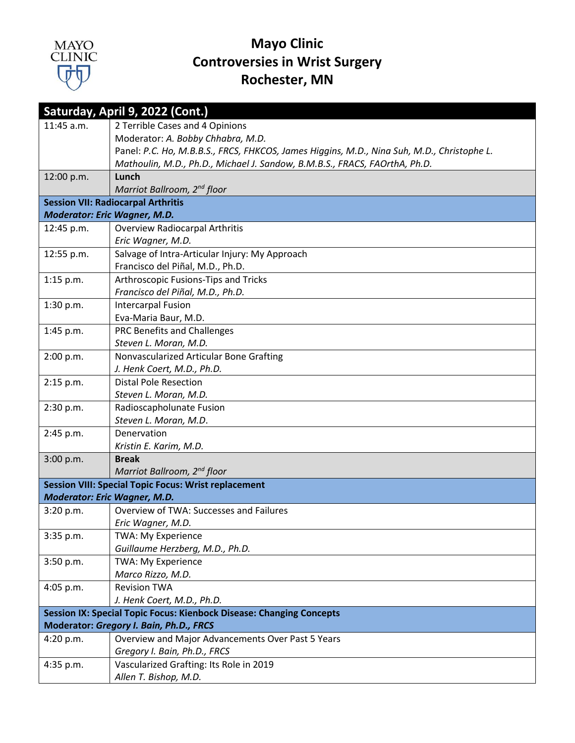

| Saturday, April 9, 2022 (Cont.)                                             |                                                                                            |
|-----------------------------------------------------------------------------|--------------------------------------------------------------------------------------------|
| 11:45 a.m.                                                                  | 2 Terrible Cases and 4 Opinions                                                            |
|                                                                             | Moderator: A. Bobby Chhabra, M.D.                                                          |
|                                                                             | Panel: P.C. Ho, M.B.B.S., FRCS, FHKCOS, James Higgins, M.D., Nina Suh, M.D., Christophe L. |
|                                                                             | Mathoulin, M.D., Ph.D., Michael J. Sandow, B.M.B.S., FRACS, FAOrthA, Ph.D.                 |
| 12:00 p.m.                                                                  | Lunch                                                                                      |
|                                                                             | Marriot Ballroom, 2 <sup>nd</sup> floor                                                    |
|                                                                             | <b>Session VII: Radiocarpal Arthritis</b>                                                  |
| <b>Moderator: Eric Wagner, M.D.</b>                                         |                                                                                            |
| 12:45 p.m.                                                                  | <b>Overview Radiocarpal Arthritis</b>                                                      |
|                                                                             | Eric Wagner, M.D.                                                                          |
| 12:55 p.m.                                                                  | Salvage of Intra-Articular Injury: My Approach                                             |
|                                                                             | Francisco del Piñal, M.D., Ph.D.                                                           |
| $1:15$ p.m.                                                                 | Arthroscopic Fusions-Tips and Tricks                                                       |
|                                                                             | Francisco del Piñal, M.D., Ph.D.                                                           |
| 1:30 p.m.                                                                   | <b>Intercarpal Fusion</b>                                                                  |
|                                                                             | Eva-Maria Baur, M.D.                                                                       |
| 1:45 p.m.                                                                   | PRC Benefits and Challenges                                                                |
|                                                                             | Steven L. Moran, M.D.                                                                      |
| 2:00 p.m.                                                                   | Nonvascularized Articular Bone Grafting                                                    |
|                                                                             | J. Henk Coert, M.D., Ph.D.                                                                 |
| 2:15 p.m.                                                                   | <b>Distal Pole Resection</b>                                                               |
|                                                                             | Steven L. Moran, M.D.                                                                      |
| 2:30 p.m.                                                                   | Radioscapholunate Fusion<br>Steven L. Moran, M.D.                                          |
|                                                                             | Denervation                                                                                |
| 2:45 p.m.                                                                   | Kristin E. Karim, M.D.                                                                     |
| 3:00 p.m.                                                                   | <b>Break</b>                                                                               |
|                                                                             | Marriot Ballroom, 2 <sup>nd</sup> floor                                                    |
|                                                                             | <b>Session VIII: Special Topic Focus: Wrist replacement</b>                                |
| <b>Moderator: Eric Wagner, M.D.</b>                                         |                                                                                            |
| 3:20 p.m.                                                                   | Overview of TWA: Successes and Failures                                                    |
|                                                                             | Eric Wagner, M.D.                                                                          |
| $3:35$ p.m.                                                                 | TWA: My Experience                                                                         |
|                                                                             | Guillaume Herzberg, M.D., Ph.D.                                                            |
| 3:50 p.m.                                                                   | TWA: My Experience                                                                         |
|                                                                             | Marco Rizzo, M.D.                                                                          |
| $4:05$ p.m.                                                                 | <b>Revision TWA</b>                                                                        |
|                                                                             | J. Henk Coert, M.D., Ph.D.                                                                 |
| <b>Session IX: Special Topic Focus: Kienbock Disease: Changing Concepts</b> |                                                                                            |
| Moderator: Gregory I. Bain, Ph.D., FRCS                                     |                                                                                            |
| 4:20 p.m.                                                                   | Overview and Major Advancements Over Past 5 Years                                          |
|                                                                             | Gregory I. Bain, Ph.D., FRCS                                                               |
| 4:35 p.m.                                                                   | Vascularized Grafting: Its Role in 2019                                                    |
|                                                                             | Allen T. Bishop, M.D.                                                                      |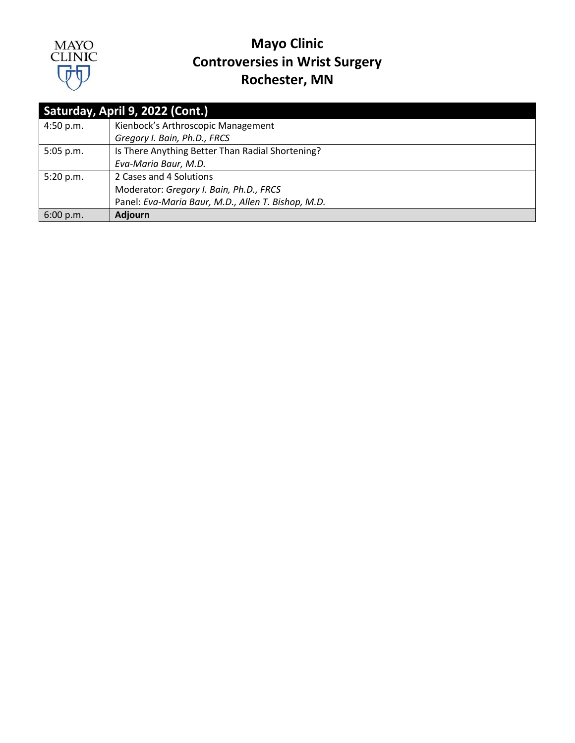

| Saturday, April 9, 2022 (Cont.) |                                                    |
|---------------------------------|----------------------------------------------------|
| 4:50 p.m.                       | Kienbock's Arthroscopic Management                 |
|                                 | Gregory I. Bain, Ph.D., FRCS                       |
| 5:05 p.m.                       | Is There Anything Better Than Radial Shortening?   |
|                                 | Eva-Maria Baur, M.D.                               |
| 5:20 p.m.                       | 2 Cases and 4 Solutions                            |
|                                 | Moderator: Gregory I. Bain, Ph.D., FRCS            |
|                                 | Panel: Eva-Maria Baur, M.D., Allen T. Bishop, M.D. |
| 6:00 p.m.                       | <b>Adjourn</b>                                     |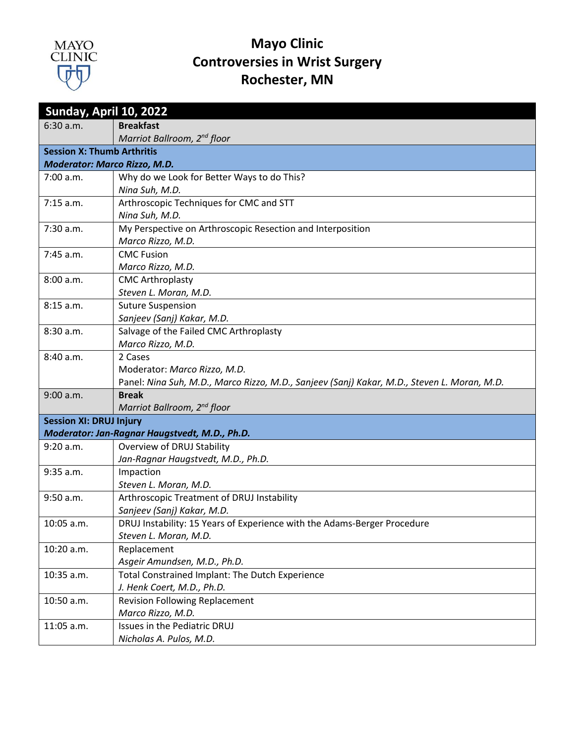

| Sunday, April 10, 2022              |                                                                                             |
|-------------------------------------|---------------------------------------------------------------------------------------------|
| 6:30 a.m.                           | <b>Breakfast</b>                                                                            |
|                                     | Marriot Ballroom, 2nd floor                                                                 |
| <b>Session X: Thumb Arthritis</b>   |                                                                                             |
| <b>Moderator: Marco Rizzo, M.D.</b> |                                                                                             |
| 7:00 a.m.                           | Why do we Look for Better Ways to do This?                                                  |
|                                     | Nina Suh, M.D.                                                                              |
| $7:15$ a.m.                         | Arthroscopic Techniques for CMC and STT                                                     |
|                                     | Nina Suh, M.D.                                                                              |
| 7:30 a.m.                           | My Perspective on Arthroscopic Resection and Interposition                                  |
|                                     | Marco Rizzo, M.D.                                                                           |
| 7:45 a.m.                           | <b>CMC Fusion</b>                                                                           |
|                                     | Marco Rizzo, M.D.                                                                           |
| 8:00 a.m.                           | <b>CMC Arthroplasty</b>                                                                     |
|                                     | Steven L. Moran, M.D.                                                                       |
| 8:15 a.m.                           | <b>Suture Suspension</b>                                                                    |
|                                     | Sanjeev (Sanj) Kakar, M.D.                                                                  |
| 8:30 a.m.                           | Salvage of the Failed CMC Arthroplasty                                                      |
|                                     | Marco Rizzo, M.D.                                                                           |
| 8:40 a.m.                           | 2 Cases                                                                                     |
|                                     | Moderator: Marco Rizzo, M.D.                                                                |
|                                     | Panel: Nina Suh, M.D., Marco Rizzo, M.D., Sanjeev (Sanj) Kakar, M.D., Steven L. Moran, M.D. |
| 9:00 a.m.                           | <b>Break</b>                                                                                |
|                                     | Marriot Ballroom, 2 <sup>nd</sup> floor                                                     |
| <b>Session XI: DRUJ Injury</b>      |                                                                                             |
|                                     | Moderator: Jan-Ragnar Haugstvedt, M.D., Ph.D.                                               |
| 9:20 a.m.                           | Overview of DRUJ Stability                                                                  |
|                                     | Jan-Ragnar Haugstvedt, M.D., Ph.D.                                                          |
| 9:35 a.m.                           | Impaction                                                                                   |
|                                     | Steven L. Moran, M.D.                                                                       |
| 9:50 a.m.                           | Arthroscopic Treatment of DRUJ Instability                                                  |
|                                     | Sanjeev (Sanj) Kakar, M.D.                                                                  |
| 10:05 a.m.                          | DRUJ Instability: 15 Years of Experience with the Adams-Berger Procedure                    |
|                                     | Steven L. Moran, M.D.                                                                       |
| 10:20 a.m.                          | Replacement                                                                                 |
|                                     | Asgeir Amundsen, M.D., Ph.D.                                                                |
| 10:35 a.m.                          | Total Constrained Implant: The Dutch Experience                                             |
| 10:50 a.m.                          | J. Henk Coert, M.D., Ph.D.<br><b>Revision Following Replacement</b>                         |
|                                     | Marco Rizzo, M.D.                                                                           |
| 11:05 a.m.                          | Issues in the Pediatric DRUJ                                                                |
|                                     | Nicholas A. Pulos, M.D.                                                                     |
|                                     |                                                                                             |